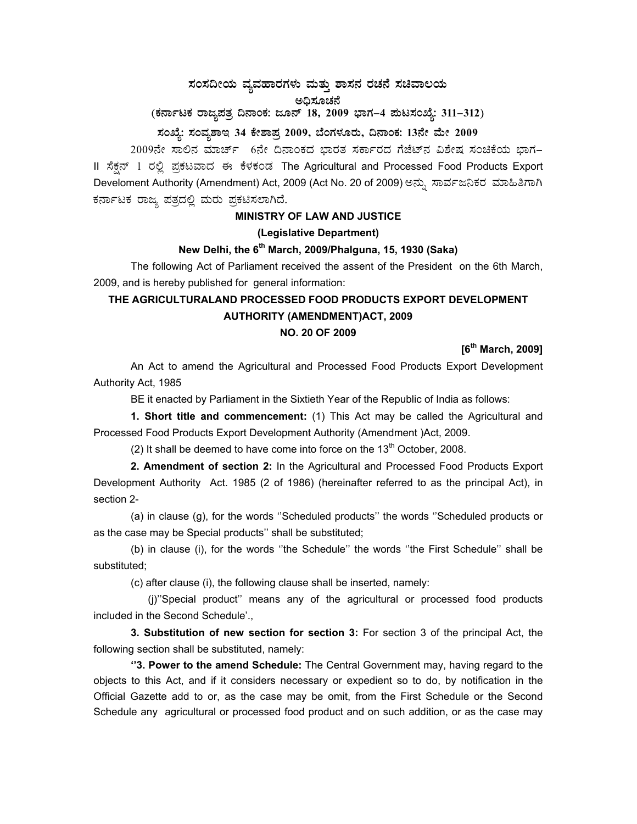# ಸಂಸದೀಯ ವ್ಯವಹಾರಗಳು ಮತ್ತು ಶಾಸನ ರಚನೆ ಸಚಿವಾಲಯ

(ಕರ್ನಾಟಕ ರಾಜ್ಯಪತ್ರ ದಿನಾಂಕ: ಜೂನ್ 18, 2009 ಭಾಗ–4 ಮಟಸಂಖ್ಯೆ: 311–312)

## ಸಂಖ್ಯೆ: ಸಂವೃಶಾಇ 34 ಕೇಶಾಪ್ರ 2009, ಬೆಂಗಳೂರು, ದಿನಾಂಕ: 13ನೇ ಮೇ 2009

2009ನೇ ಸಾಲಿನ ಮಾರ್ಚ್ 6ನೇ ದಿನಾಂಕದ ಭಾರತ ಸರ್ಕಾರದ ಗೆಜೆಟ್ ವಿಶೇಷ ಸಂಚಿಕೆಯ ಭಾಗ-II ಸೆಕ್ಸನ್ 1 ರಲ್ಲಿ ಪ್ರಕಟವಾದ ಈ ಕೆಳಕಂಡ The Agricultural and Processed Food Products Export Develoment Authority (Amendment) Act, 2009 (Act No. 20 of 2009) ಅನ್ನು ಸಾರ್ವಜನಿಕರ ಮಾಹಿತಿಗಾಗಿ ಕರ್ನಾಟಕ ರಾಜ್ಯ ಪತ್ರದಲ್ಲಿ ಮರು ಪ್ರಕಟಿಸಲಾಗಿದೆ.

# **MINISTRY OF LAW AND JUSTICE**

#### (Legislative Department)

## New Delhi, the 6<sup>th</sup> March, 2009/Phalguna, 15, 1930 (Saka)

The following Act of Parliament received the assent of the President on the 6th March, 2009, and is hereby published for general information:

# THE AGRICULTURALAND PROCESSED FOOD PRODUCTS EXPORT DEVELOPMENT **AUTHORITY (AMENDMENT)ACT, 2009**

#### **NO. 20 OF 2009**

### $[6^{th}$  March, 2009]

An Act to amend the Agricultural and Processed Food Products Export Development Authority Act, 1985

BE it enacted by Parliament in the Sixtieth Year of the Republic of India as follows:

1. Short title and commencement: (1) This Act may be called the Agricultural and Processed Food Products Export Development Authority (Amendment )Act, 2009.

(2) It shall be deemed to have come into force on the  $13<sup>th</sup>$  October, 2008.

2. Amendment of section 2: In the Agricultural and Processed Food Products Export Development Authority Act. 1985 (2 of 1986) (hereinafter referred to as the principal Act), in section 2-

(a) in clause (g), for the words "Scheduled products" the words "Scheduled products or as the case may be Special products" shall be substituted;

(b) in clause (i), for the words "the Schedule" the words "the First Schedule" shall be substituted:

(c) after clause (i), the following clause shall be inserted, namely:

(j)"Special product" means any of the agricultural or processed food products included in the Second Schedule'.,

3. Substitution of new section for section 3: For section 3 of the principal Act, the following section shall be substituted, namely:

"3. Power to the amend Schedule: The Central Government may, having regard to the objects to this Act, and if it considers necessary or expedient so to do, by notification in the Official Gazette add to or, as the case may be omit, from the First Schedule or the Second Schedule any agricultural or processed food product and on such addition, or as the case may